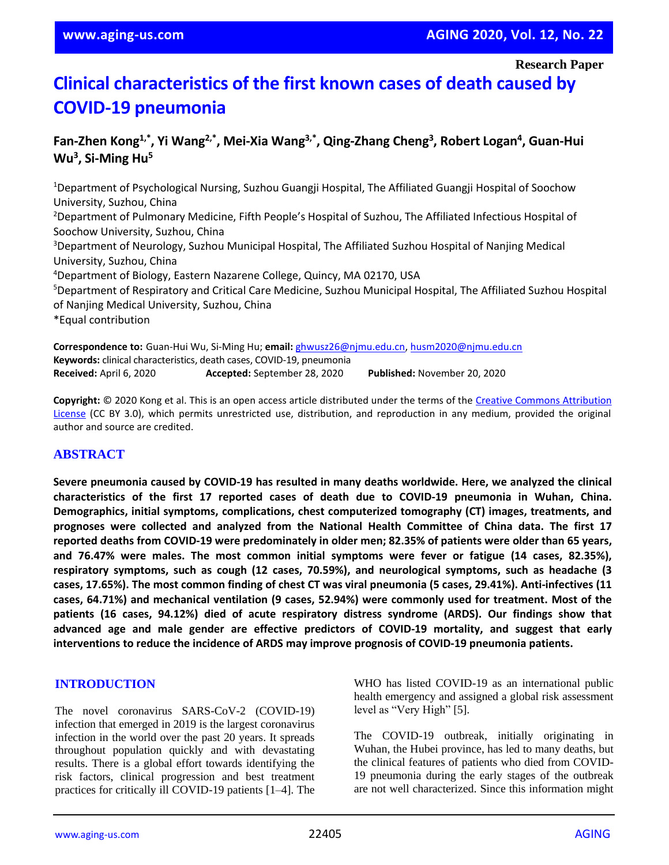**Research Paper**

# **Clinical characteristics of the first known cases of death caused by COVID-19 pneumonia**

## **Fan-Zhen Kong1,\*, Yi Wang2,\*, Mei-Xia Wang3,\*, Qing-Zhang Cheng<sup>3</sup> , Robert Logan<sup>4</sup> , Guan-Hui Wu<sup>3</sup> , Si-Ming Hu<sup>5</sup>**

<sup>1</sup>Department of Psychological Nursing, Suzhou Guangji Hospital, The Affiliated Guangji Hospital of Soochow University, Suzhou, China <sup>2</sup>Department of Pulmonary Medicine, Fifth People's Hospital of Suzhou, The Affiliated Infectious Hospital of Soochow University, Suzhou, China <sup>3</sup>Department of Neurology, Suzhou Municipal Hospital, The Affiliated Suzhou Hospital of Nanjing Medical University, Suzhou, China <sup>4</sup>Department of Biology, Eastern Nazarene College, Quincy, MA 02170, USA <sup>5</sup>Department of Respiratory and Critical Care Medicine, Suzhou Municipal Hospital, The Affiliated Suzhou Hospital of Nanjing Medical University, Suzhou, China \*Equal contribution

**Correspondence to:** Guan-Hui Wu, Si-Ming Hu; **email:** [ghwusz26@njmu.edu.cn,](mailto:ghwusz26@njmu.edu.cn) [husm2020@njmu.edu.cn](mailto:husm2020@njmu.edu.cn) **Keywords:** clinical characteristics, death cases, COVID-19, pneumonia **Received:** April 6, 2020 **Accepted:** September 28, 2020 **Published:** November 20, 2020

**Copyright:** © 2020 Kong et al. This is an open access article distributed under the terms of the [Creative Commons Attribution](https://creativecommons.org/licenses/by/3.0/)  [License](https://creativecommons.org/licenses/by/3.0/) (CC BY 3.0), which permits unrestricted use, distribution, and reproduction in any medium, provided the original author and source are credited.

## **ABSTRACT**

**Severe pneumonia caused by COVID-19 has resulted in many deaths worldwide. Here, we analyzed the clinical characteristics of the first 17 reported cases of death due to COVID-19 pneumonia in Wuhan, China. Demographics, initial symptoms, complications, chest computerized tomography (CT) images, treatments, and prognoses were collected and analyzed from the National Health Committee of China data. The first 17** reported deaths from COVID-19 were predominately in older men; 82.35% of patients were older than 65 years, **and 76.47% were males. The most common initial symptoms were fever or fatigue (14 cases, 82.35%), respiratory symptoms, such as cough (12 cases, 70.59%), and neurological symptoms, such as headache (3** cases, 17.65%). The most common finding of chest CT was viral pneumonia (5 cases, 29.41%). Anti-infectives (11 **cases, 64.71%) and mechanical ventilation (9 cases, 52.94%) were commonly used for treatment. Most of the patients (16 cases, 94.12%) died of acute respiratory distress syndrome (ARDS). Our findings show that advanced age and male gender are effective predictors of COVID-19 mortality, and suggest that early interventions to reduce the incidence of ARDS may improve prognosis of COVID-19 pneumonia patients.**

#### **INTRODUCTION**

The novel coronavirus SARS-CoV-2 (COVID-19) infection that emerged in 2019 is the largest coronavirus infection in the world over the past 20 years. It spreads throughout population quickly and with devastating results. There is a global effort towards identifying the risk factors, clinical progression and best treatment practices for critically ill COVID-19 patients [1–4]. The

WHO has listed COVID-19 as an international public health emergency and assigned a global risk assessment level as "Very High" [5].

The COVID-19 outbreak, initially originating in Wuhan, the Hubei province, has led to many deaths, but the clinical features of patients who died from COVID-19 pneumonia during the early stages of the outbreak are not well characterized. Since this information might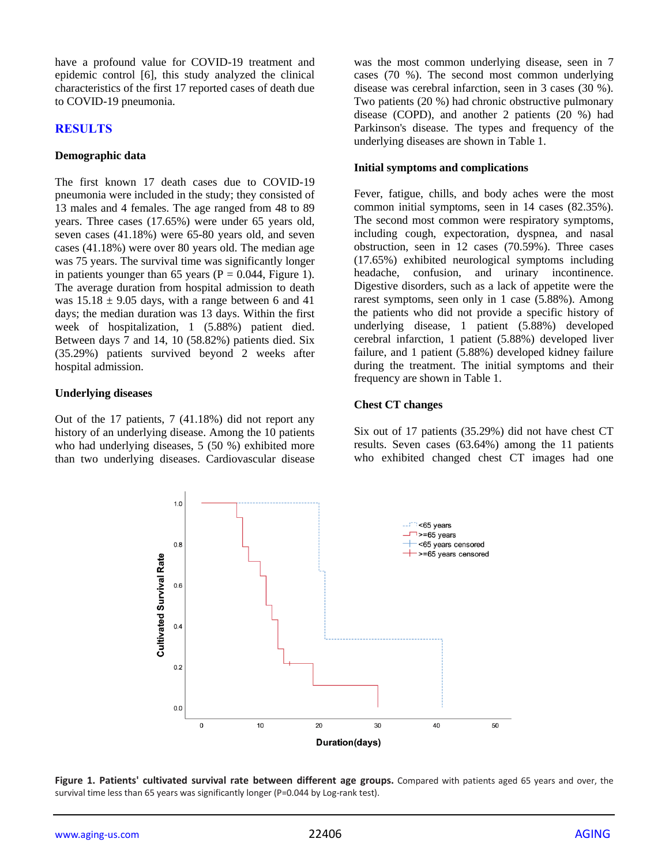have a profound value for COVID-19 treatment and epidemic control [6], this study analyzed the clinical characteristics of the first 17 reported cases of death due to COVID-19 pneumonia.

## **RESULTS**

#### **Demographic data**

The first known 17 death cases due to COVID-19 pneumonia were included in the study; they consisted of 13 males and 4 females. The age ranged from 48 to 89 years. Three cases (17.65%) were under 65 years old, seven cases (41.18%) were 65-80 years old, and seven cases (41.18%) were over 80 years old. The median age was 75 years. The survival time was significantly longer in patients younger than 65 years ( $P = 0.044$ , Figure 1). The average duration from hospital admission to death was  $15.18 \pm 9.05$  days, with a range between 6 and 41 days; the median duration was 13 days. Within the first week of hospitalization, 1 (5.88%) patient died. Between days 7 and 14, 10 (58.82%) patients died. Six (35.29%) patients survived beyond 2 weeks after hospital admission.

#### **Underlying diseases**

Out of the 17 patients, 7 (41.18%) did not report any history of an underlying disease. Among the 10 patients who had underlying diseases, 5 (50 %) exhibited more than two underlying diseases. Cardiovascular disease was the most common underlying disease, seen in 7 cases (70 %). The second most common underlying disease was cerebral infarction, seen in 3 cases (30 %). Two patients (20 %) had chronic obstructive pulmonary disease (COPD), and another 2 patients (20 %) had Parkinson's disease. The types and frequency of the underlying diseases are shown in Table 1.

#### **Initial symptoms and complications**

Fever, fatigue, chills, and body aches were the most common initial symptoms, seen in 14 cases (82.35%). The second most common were respiratory symptoms, including cough, expectoration, dyspnea, and nasal obstruction, seen in 12 cases (70.59%). Three cases (17.65%) exhibited neurological symptoms including headache, confusion, and urinary incontinence. Digestive disorders, such as a lack of appetite were the rarest symptoms, seen only in 1 case (5.88%). Among the patients who did not provide a specific history of underlying disease, 1 patient (5.88%) developed cerebral infarction, 1 patient (5.88%) developed liver failure, and 1 patient (5.88%) developed kidney failure during the treatment. The initial symptoms and their frequency are shown in Table 1.

## **Chest CT changes**

Six out of 17 patients (35.29%) did not have chest CT results. Seven cases (63.64%) among the 11 patients who exhibited changed chest CT images had one



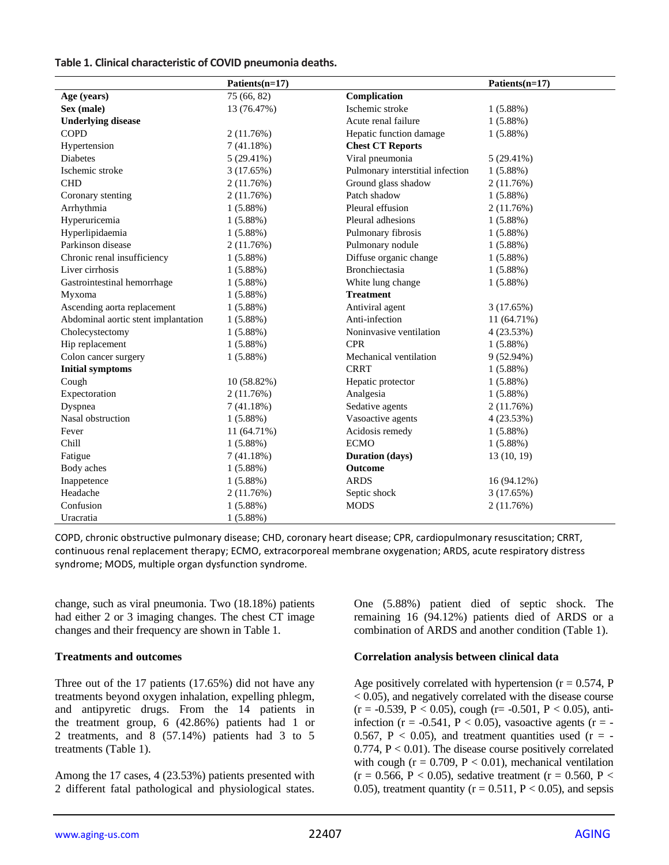#### **Table 1. Clinical characteristic of COVID pneumonia deaths.**

|                                     | Patients(n=17) |                                  | Patients(n=17) |
|-------------------------------------|----------------|----------------------------------|----------------|
| Age (years)                         | 75 (66, 82)    | Complication                     |                |
| Sex (male)                          | 13 (76.47%)    | Ischemic stroke                  | 1(5.88%)       |
| <b>Underlying disease</b>           |                | Acute renal failure              | 1(5.88%)       |
| <b>COPD</b>                         | 2(11.76%)      | Hepatic function damage          | $1(5.88\%)$    |
| Hypertension                        | 7(41.18%)      | <b>Chest CT Reports</b>          |                |
| <b>Diabetes</b>                     | $5(29.41\%)$   | Viral pneumonia                  | $5(29.41\%)$   |
| Ischemic stroke                     | 3(17.65%)      | Pulmonary interstitial infection | 1(5.88%)       |
| <b>CHD</b>                          | 2(11.76%)      | Ground glass shadow              | 2 (11.76%)     |
| Coronary stenting                   | 2(11.76%)      | Patch shadow                     | 1(5.88%)       |
| Arrhythmia                          | $1(5.88\%)$    | Pleural effusion                 | 2 (11.76%)     |
| Hyperuricemia                       | $1(5.88\%)$    | Pleural adhesions                | 1(5.88%)       |
| Hyperlipidaemia                     | $1(5.88\%)$    | Pulmonary fibrosis               | 1(5.88%)       |
| Parkinson disease                   | 2(11.76%)      | Pulmonary nodule                 | 1(5.88%)       |
| Chronic renal insufficiency         | $1(5.88\%)$    | Diffuse organic change           | $1(5.88\%)$    |
| Liver cirrhosis                     | $1(5.88\%)$    | Bronchiectasia                   | $1(5.88\%)$    |
| Gastrointestinal hemorrhage         | $1(5.88\%)$    | White lung change                | 1(5.88%)       |
| Myxoma                              | $1(5.88\%)$    | <b>Treatment</b>                 |                |
| Ascending aorta replacement         | $1(5.88\%)$    | Antiviral agent                  | 3(17.65%)      |
| Abdominal aortic stent implantation | $1(5.88\%)$    | Anti-infection                   | 11 (64.71%)    |
| Cholecystectomy                     | $1(5.88\%)$    | Noninvasive ventilation          | 4 (23.53%)     |
| Hip replacement                     | $1(5.88\%)$    | <b>CPR</b>                       | 1(5.88%)       |
| Colon cancer surgery                | $1(5.88\%)$    | Mechanical ventilation           | 9(52.94%)      |
| <b>Initial symptoms</b>             |                | <b>CRRT</b>                      | 1(5.88%)       |
| Cough                               | 10 (58.82%)    | Hepatic protector                | 1(5.88%)       |
| Expectoration                       | 2(11.76%)      | Analgesia                        | 1(5.88%)       |
| Dyspnea                             | 7(41.18%)      | Sedative agents                  | 2 (11.76%)     |
| Nasal obstruction                   | $1(5.88\%)$    | Vasoactive agents                | 4(23.53%)      |
| Fever                               | 11 (64.71%)    | Acidosis remedy                  | 1(5.88%)       |
| Chill                               | $1(5.88\%)$    | <b>ECMO</b>                      | 1(5.88%)       |
| Fatigue                             | 7(41.18%)      | <b>Duration</b> (days)           | 13 (10, 19)    |
| Body aches                          | 1(5.88%)       | Outcome                          |                |
| Inappetence                         | $1(5.88\%)$    | <b>ARDS</b>                      | 16 (94.12%)    |
| Headache                            | 2(11.76%)      | Septic shock                     | 3(17.65%)      |
| Confusion                           | $1(5.88\%)$    | <b>MODS</b>                      | 2(11.76%)      |
| Uracratia                           | $1(5.88\%)$    |                                  |                |

COPD, chronic obstructive pulmonary disease; CHD, coronary heart disease; CPR, cardiopulmonary resuscitation; CRRT, continuous renal replacement therapy; ECMO, extracorporeal membrane oxygenation; ARDS, acute respiratory distress syndrome; MODS, multiple organ dysfunction syndrome.

change, such as viral pneumonia. Two (18.18%) patients had either 2 or 3 imaging changes. The chest CT image changes and their frequency are shown in Table 1.

#### **Treatments and outcomes**

Three out of the 17 patients (17.65%) did not have any treatments beyond oxygen inhalation, expelling phlegm, and antipyretic drugs. From the 14 patients in the treatment group, 6 (42.86%) patients had 1 or 2 treatments, and 8 (57.14%) patients had 3 to 5 treatments (Table 1).

Among the 17 cases, 4 (23.53%) patients presented with 2 different fatal pathological and physiological states. One (5.88%) patient died of septic shock. The remaining 16 (94.12%) patients died of ARDS or a combination of ARDS and another condition (Table 1).

## **Correlation analysis between clinical data**

Age positively correlated with hypertension  $(r = 0.574, P)$ < 0.05), and negatively correlated with the disease course  $(r = -0.539, P < 0.05)$ , cough  $(r = -0.501, P < 0.05)$ , antiinfection ( $r = -0.541$ ,  $P < 0.05$ ), vasoactive agents ( $r = -$ 0.567,  $P < 0.05$ ), and treatment quantities used (r = - $0.774$ ,  $P < 0.01$ ). The disease course positively correlated with cough ( $r = 0.709$ ,  $P < 0.01$ ), mechanical ventilation  $(r = 0.566, P < 0.05)$ , sedative treatment  $(r = 0.560, P <$ 0.05), treatment quantity ( $r = 0.511$ ,  $P < 0.05$ ), and sepsis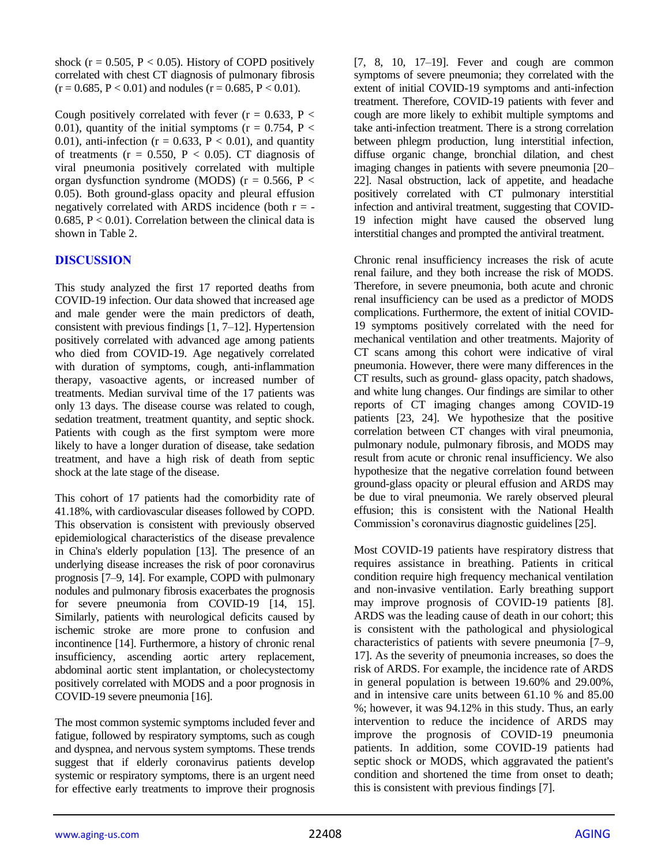shock ( $r = 0.505$ ,  $P < 0.05$ ). History of COPD positively correlated with chest CT diagnosis of pulmonary fibrosis  $(r = 0.685, P < 0.01)$  and nodules  $(r = 0.685, P < 0.01)$ .

Cough positively correlated with fever ( $r = 0.633$ ,  $P <$ 0.01), quantity of the initial symptoms ( $r = 0.754$ ,  $P <$ 0.01), anti-infection ( $r = 0.633$ ,  $P < 0.01$ ), and quantity of treatments ( $r = 0.550$ ,  $P < 0.05$ ). CT diagnosis of viral pneumonia positively correlated with multiple organ dysfunction syndrome (MODS) ( $r = 0.566$ ,  $P <$ 0.05). Both ground-glass opacity and pleural effusion negatively correlated with ARDS incidence (both  $r = -$ 0.685,  $P < 0.01$ ). Correlation between the clinical data is shown in Table 2.

## **DISCUSSION**

This study analyzed the first 17 reported deaths from COVID-19 infection. Our data showed that increased age and male gender were the main predictors of death, consistent with previous findings [1, 7–12]. Hypertension positively correlated with advanced age among patients who died from COVID-19. Age negatively correlated with duration of symptoms, cough, anti-inflammation therapy, vasoactive agents, or increased number of treatments. Median survival time of the 17 patients was only 13 days. The disease course was related to cough, sedation treatment, treatment quantity, and septic shock. Patients with cough as the first symptom were more likely to have a longer duration of disease, take sedation treatment, and have a high risk of death from septic shock at the late stage of the disease.

This cohort of 17 patients had the comorbidity rate of 41.18%, with cardiovascular diseases followed by COPD. This observation is consistent with previously observed epidemiological characteristics of the disease prevalence in China's elderly population [13]. The presence of an underlying disease increases the risk of poor coronavirus prognosis [7–9, 14]. For example, COPD with pulmonary nodules and pulmonary fibrosis exacerbates the prognosis for severe pneumonia from COVID-19 [14, 15]. Similarly, patients with neurological deficits caused by ischemic stroke are more prone to confusion and incontinence [14]. Furthermore, a history of chronic renal insufficiency, ascending aortic artery replacement, abdominal aortic stent implantation, or cholecystectomy positively correlated with MODS and a poor prognosis in COVID-19 severe pneumonia [16].

The most common systemic symptoms included fever and fatigue, followed by respiratory symptoms, such as cough and dyspnea, and nervous system symptoms. These trends suggest that if elderly coronavirus patients develop systemic or respiratory symptoms, there is an urgent need for effective early treatments to improve their prognosis

[7, 8, 10, 17–19]. Fever and cough are common symptoms of severe pneumonia; they correlated with the extent of initial COVID-19 symptoms and anti-infection treatment. Therefore, COVID-19 patients with fever and cough are more likely to exhibit multiple symptoms and take anti-infection treatment. There is a strong correlation between phlegm production, lung interstitial infection, diffuse organic change, bronchial dilation, and chest imaging changes in patients with severe pneumonia [20– 22]. Nasal obstruction, lack of appetite, and headache positively correlated with CT pulmonary interstitial infection and antiviral treatment, suggesting that COVID-19 infection might have caused the observed lung interstitial changes and prompted the antiviral treatment.

Chronic renal insufficiency increases the risk of acute renal failure, and they both increase the risk of MODS. Therefore, in severe pneumonia, both acute and chronic renal insufficiency can be used as a predictor of MODS complications. Furthermore, the extent of initial COVID-19 symptoms positively correlated with the need for mechanical ventilation and other treatments. Majority of CT scans among this cohort were indicative of viral pneumonia. However, there were many differences in the CT results, such as ground- glass opacity, patch shadows, and white lung changes. Our findings are similar to other reports of CT imaging changes among COVID-19 patients [23, 24]. We hypothesize that the positive correlation between CT changes with viral pneumonia, pulmonary nodule, pulmonary fibrosis, and MODS may result from acute or chronic renal insufficiency. We also hypothesize that the negative correlation found between ground-glass opacity or pleural effusion and ARDS may be due to viral pneumonia. We rarely observed pleural effusion; this is consistent with the National Health Commission's coronavirus diagnostic guidelines [25].

Most COVID-19 patients have respiratory distress that requires assistance in breathing. Patients in critical condition require high frequency mechanical ventilation and non-invasive ventilation. Early breathing support may improve prognosis of COVID-19 patients [8]. ARDS was the leading cause of death in our cohort; this is consistent with the pathological and physiological characteristics of patients with severe pneumonia [7–9, 17]. As the severity of pneumonia increases, so does the risk of ARDS. For example, the incidence rate of ARDS in general population is between 19.60% and 29.00%, and in intensive care units between 61.10 % and 85.00 %; however, it was 94.12% in this study. Thus, an early intervention to reduce the incidence of ARDS may improve the prognosis of COVID-19 pneumonia patients. In addition, some COVID-19 patients had septic shock or MODS, which aggravated the patient's condition and shortened the time from onset to death; this is consistent with previous findings [7].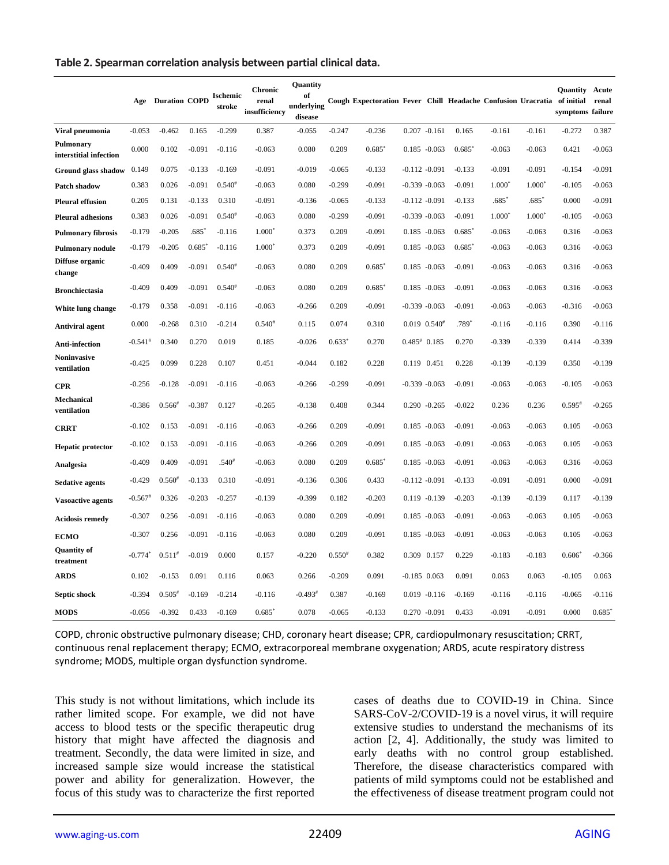#### **Table 2. Spearman correlation analysis between partial clinical data.**

|                                     |                       | <b>Age</b> Duration COPD |          | <b>Ischemic</b><br>stroke | <b>Chronic</b><br>renal<br>insufficiency | Quantity<br>of<br>underlying<br>disease |          | Cough Expectoration Fever Chill Headache Confusion Uracratia of initial |                    |                  |          |          |          | <b>Ouantity</b><br>symptoms failure | Acute<br>renal |
|-------------------------------------|-----------------------|--------------------------|----------|---------------------------|------------------------------------------|-----------------------------------------|----------|-------------------------------------------------------------------------|--------------------|------------------|----------|----------|----------|-------------------------------------|----------------|
| Viral pneumonia                     | $-0.053$              | $-0.462$                 | 0.165    | $-0.299$                  | 0.387                                    | $-0.055$                                | $-0.247$ | $-0.236$                                                                |                    | $0.207 - 0.161$  | 0.165    | $-0.161$ | $-0.161$ | $-0.272$                            | 0.387          |
| Pulmonary<br>interstitial infection | 0.000                 | 0.102                    | $-0.091$ | $-0.116$                  | $-0.063$                                 | 0.080                                   | 0.209    | $0.685*$                                                                |                    | $0.185 - 0.063$  | $0.685*$ | $-0.063$ | $-0.063$ | 0.421                               | $-0.063$       |
| Ground glass shadow                 | 0.149                 | 0.075                    | $-0.133$ | $-0.169$                  | $-0.091$                                 | $-0.019$                                | $-0.065$ | $-0.133$                                                                |                    | $-0.112 - 0.091$ | $-0.133$ | $-0.091$ | $-0.091$ | $-0.154$                            | $-0.091$       |
| Patch shadow                        | 0.383                 | 0.026                    | $-0.091$ | $0.540^{#}$               | $-0.063$                                 | 0.080                                   | $-0.299$ | $-0.091$                                                                |                    | $-0.339 - 0.063$ | $-0.091$ | $1.000*$ | $1.000*$ | $-0.105$                            | $-0.063$       |
| <b>Pleural effusion</b>             | 0.205                 | 0.131                    | $-0.133$ | 0.310                     | $-0.091$                                 | $-0.136$                                | $-0.065$ | $-0.133$                                                                |                    | $-0.112 - 0.091$ | $-0.133$ | $.685*$  | $.685*$  | 0.000                               | $-0.091$       |
| <b>Pleural adhesions</b>            | 0.383                 | 0.026                    | $-0.091$ | $0.540^{#}$               | $-0.063$                                 | 0.080                                   | $-0.299$ | $-0.091$                                                                |                    | $-0.339 - 0.063$ | $-0.091$ | $1.000*$ | $1.000*$ | $-0.105$                            | $-0.063$       |
| <b>Pulmonary fibrosis</b>           | $-0.179$              | $-0.205$                 | $.685*$  | $-0.116$                  | $1.000*$                                 | 0.373                                   | 0.209    | $-0.091$                                                                |                    | $0.185 - 0.063$  | $0.685*$ | $-0.063$ | $-0.063$ | 0.316                               | $-0.063$       |
| Pulmonary nodule                    | $-0.179$              | $-0.205$                 | $0.685*$ | $-0.116$                  | $1.000*$                                 | 0.373                                   | 0.209    | $-0.091$                                                                |                    | $0.185 - 0.063$  | 0.685    | $-0.063$ | $-0.063$ | 0.316                               | $-0.063$       |
| Diffuse organic<br>change           | $-0.409$              | 0.409                    | $-0.091$ | $0.540*$                  | $-0.063$                                 | 0.080                                   | 0.209    | $0.685*$                                                                |                    | $0.185 - 0.063$  | $-0.091$ | $-0.063$ | $-0.063$ | 0.316                               | $-0.063$       |
| <b>Bronchiectasia</b>               | $-0.409$              | 0.409                    | $-0.091$ | $0.540^{*}$               | $-0.063$                                 | 0.080                                   | 0.209    | $0.685*$                                                                |                    | $0.185 - 0.063$  | $-0.091$ | $-0.063$ | $-0.063$ | 0.316                               | $-0.063$       |
| White lung change                   | $-0.179$              | 0.358                    | $-0.091$ | $-0.116$                  | $-0.063$                                 | $-0.266$                                | 0.209    | $-0.091$                                                                |                    | $-0.339 - 0.063$ | $-0.091$ | $-0.063$ | $-0.063$ | $-0.316$                            | $-0.063$       |
| Antiviral agent                     | 0.000                 | $-0.268$                 | 0.310    | $-0.214$                  | $0.540*$                                 | 0.115                                   | 0.074    | 0.310                                                                   |                    | $0.019$ $0.540*$ | $.789*$  | $-0.116$ | $-0.116$ | 0.390                               | $-0.116$       |
| Anti-infection                      | $-0.541$ <sup>#</sup> | 0.340                    | 0.270    | 0.019                     | 0.185                                    | $-0.026$                                | $0.633*$ | 0.270                                                                   | $0.485^{\#}$ 0.185 |                  | 0.270    | $-0.339$ | $-0.339$ | 0.414                               | $-0.339$       |
| Noninvasive<br>ventilation          | $-0.425$              | 0.099                    | 0.228    | 0.107                     | 0.451                                    | $-0.044$                                | 0.182    | 0.228                                                                   | 0.119 0.451        |                  | 0.228    | $-0.139$ | $-0.139$ | 0.350                               | $-0.139$       |
| <b>CPR</b>                          | $-0.256$              | $-0.128$                 | $-0.091$ | $-0.116$                  | $-0.063$                                 | $-0.266$                                | $-0.299$ | $-0.091$                                                                |                    | $-0.339 - 0.063$ | $-0.091$ | $-0.063$ | $-0.063$ | $-0.105$                            | $-0.063$       |
| Mechanical<br>ventilation           | $-0.386$              | $0.566*$                 | $-0.387$ | 0.127                     | $-0.265$                                 | $-0.138$                                | 0.408    | 0.344                                                                   |                    | $0.290 -0.265$   | $-0.022$ | 0.236    | 0.236    | $0.595*$                            | $-0.265$       |
| <b>CRRT</b>                         | $-0.102$              | 0.153                    | $-0.091$ | $-0.116$                  | $-0.063$                                 | $-0.266$                                | 0.209    | $-0.091$                                                                |                    | $0.185 - 0.063$  | $-0.091$ | $-0.063$ | $-0.063$ | 0.105                               | $-0.063$       |
| Hepatic protector                   | $-0.102$              | 0.153                    | $-0.091$ | $-0.116$                  | $-0.063$                                 | $-0.266$                                | 0.209    | $-0.091$                                                                |                    | $0.185 - 0.063$  | $-0.091$ | $-0.063$ | $-0.063$ | 0.105                               | $-0.063$       |
| Analgesia                           | $-0.409$              | 0.409                    | $-0.091$ | $.540*$                   | $-0.063$                                 | 0.080                                   | 0.209    | $0.685*$                                                                |                    | $0.185 - 0.063$  | $-0.091$ | $-0.063$ | $-0.063$ | 0.316                               | $-0.063$       |
| <b>Sedative agents</b>              | $-0.429$              | $0.560*$                 | $-0.133$ | 0.310                     | $-0.091$                                 | $-0.136$                                | 0.306    | 0.433                                                                   |                    | $-0.112 - 0.091$ | $-0.133$ | $-0.091$ | $-0.091$ | 0.000                               | $-0.091$       |
| <b>Vasoactive agents</b>            | $-0.567$ #            | 0.326                    | $-0.203$ | $-0.257$                  | $-0.139$                                 | $-0.399$                                | 0.182    | $-0.203$                                                                |                    | $0.119 - 0.139$  | $-0.203$ | $-0.139$ | $-0.139$ | 0.117                               | $-0.139$       |
| <b>Acidosis remedy</b>              | $-0.307$              | 0.256                    | $-0.091$ | $-0.116$                  | $-0.063$                                 | 0.080                                   | 0.209    | $-0.091$                                                                |                    | $0.185 - 0.063$  | $-0.091$ | $-0.063$ | $-0.063$ | 0.105                               | $-0.063$       |
| <b>ECMO</b>                         | $-0.307$              | 0.256                    | $-0.091$ | $-0.116$                  | $-0.063$                                 | 0.080                                   | 0.209    | $-0.091$                                                                |                    | $0.185 - 0.063$  | $-0.091$ | $-0.063$ | $-0.063$ | 0.105                               | $-0.063$       |
| <b>Quantity of</b><br>treatment     | $-0.774*$             | $0.511*$                 | $-0.019$ | 0.000                     | 0.157                                    | $-0.220$                                | $0.550*$ | 0.382                                                                   | 0.309 0.157        |                  | 0.229    | $-0.183$ | $-0.183$ | $0.606*$                            | $-0.366$       |
| <b>ARDS</b>                         | 0.102                 | $-0.153$                 | 0.091    | 0.116                     | 0.063                                    | 0.266                                   | $-0.209$ | 0.091                                                                   | $-0.185$ 0.063     |                  | 0.091    | 0.063    | 0.063    | $-0.105$                            | 0.063          |
| Septic shock                        | $-0.394$              | $0.505$ <sup>#</sup>     | $-0.169$ | $-0.214$                  | $-0.116$                                 | $-0.493*$                               | 0.387    | $-0.169$                                                                |                    | $0.019 - 0.116$  | $-0.169$ | $-0.116$ | $-0.116$ | $-0.065$                            | $-0.116$       |
| <b>MODS</b>                         | $-0.056$              | $-0.392$                 | 0.433    | $-0.169$                  | $0.685*$                                 | 0.078                                   | $-0.065$ | $-0.133$                                                                |                    | $0.270 - 0.091$  | 0.433    | $-0.091$ | $-0.091$ | 0.000                               | 0.685          |

COPD, chronic obstructive pulmonary disease; CHD, coronary heart disease; CPR, cardiopulmonary resuscitation; CRRT, continuous renal replacement therapy; ECMO, extracorporeal membrane oxygenation; ARDS, acute respiratory distress syndrome; MODS, multiple organ dysfunction syndrome.

This study is not without limitations, which include its rather limited scope. For example, we did not have access to blood tests or the specific therapeutic drug history that might have affected the diagnosis and treatment. Secondly, the data were limited in size, and increased sample size would increase the statistical power and ability for generalization. However, the focus of this study was to characterize the first reported cases of deaths due to COVID-19 in China. Since SARS-CoV-2/COVID-19 is a novel virus, it will require extensive studies to understand the mechanisms of its action [2, 4]. Additionally, the study was limited to early deaths with no control group established. Therefore, the disease characteristics compared with patients of mild symptoms could not be established and the effectiveness of disease treatment program could not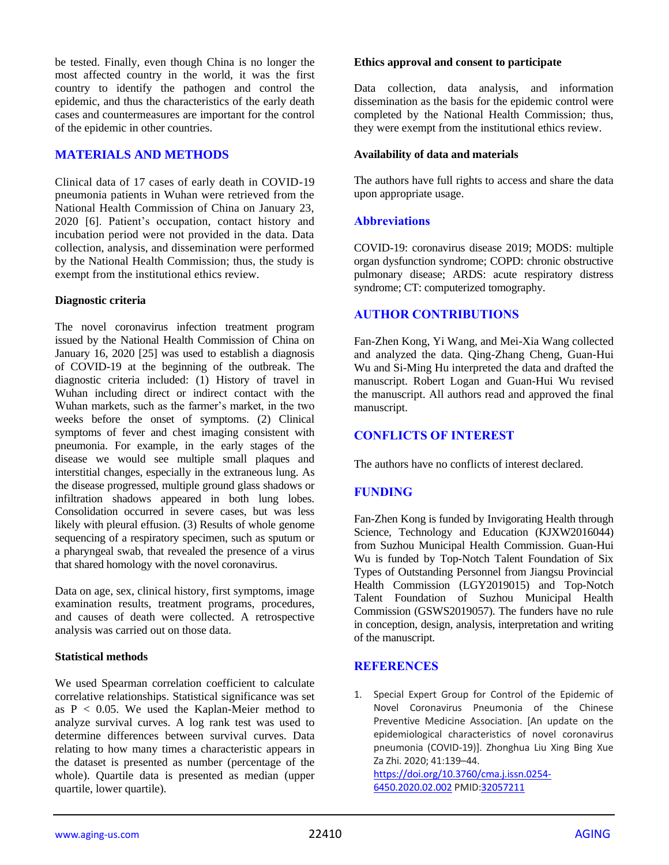be tested. Finally, even though China is no longer the most affected country in the world, it was the first country to identify the pathogen and control the epidemic, and thus the characteristics of the early death cases and countermeasures are important for the control of the epidemic in other countries.

## **MATERIALS AND METHODS**

Clinical data of 17 cases of early death in COVID-19 pneumonia patients in Wuhan were retrieved from the National Health Commission of China on January 23, 2020 [6]. Patient's occupation, contact history and incubation period were not provided in the data. Data collection, analysis, and dissemination were performed by the National Health Commission; thus, the study is exempt from the institutional ethics review.

## **Diagnostic criteria**

The novel coronavirus infection treatment program issued by the National Health Commission of China on January 16, 2020 [25] was used to establish a diagnosis of COVID-19 at the beginning of the outbreak. The diagnostic criteria included: (1) History of travel in Wuhan including direct or indirect contact with the Wuhan markets, such as the farmer's market, in the two weeks before the onset of symptoms. (2) Clinical symptoms of fever and chest imaging consistent with pneumonia. For example, in the early stages of the disease we would see multiple small plaques and interstitial changes, especially in the extraneous lung. As the disease progressed, multiple ground glass shadows or infiltration shadows appeared in both lung lobes. Consolidation occurred in severe cases, but was less likely with pleural effusion. (3) Results of whole genome sequencing of a respiratory specimen, such as sputum or a pharyngeal swab, that revealed the presence of a virus that shared homology with the novel coronavirus.

Data on age, sex, clinical history, first symptoms, image examination results, treatment programs, procedures, and causes of death were collected. A retrospective analysis was carried out on those data.

#### **Statistical methods**

We used Spearman correlation coefficient to calculate correlative relationships. Statistical significance was set as  $P < 0.05$ . We used the Kaplan-Meier method to analyze survival curves. A log rank test was used to determine differences between survival curves. Data relating to how many times a characteristic appears in the dataset is presented as number (percentage of the whole). Quartile data is presented as median (upper quartile, lower quartile).

#### **Ethics approval and consent to participate**

Data collection, data analysis, and information dissemination as the basis for the epidemic control were completed by the National Health Commission; thus, they were exempt from the institutional ethics review.

#### **Availability of data and materials**

The authors have full rights to access and share the data upon appropriate usage.

## **Abbreviations**

COVID-19: coronavirus disease 2019; MODS: multiple organ dysfunction syndrome; COPD: chronic obstructive pulmonary disease; ARDS: acute respiratory distress syndrome; CT: computerized tomography.

## **AUTHOR CONTRIBUTIONS**

Fan-Zhen Kong, Yi Wang, and Mei-Xia Wang collected and analyzed the data. Qing-Zhang Cheng, Guan-Hui Wu and Si-Ming Hu interpreted the data and drafted the manuscript. Robert Logan and Guan-Hui Wu revised the manuscript. All authors read and approved the final manuscript.

## **CONFLICTS OF INTEREST**

The authors have no conflicts of interest declared.

## **FUNDING**

Fan-Zhen Kong is funded by Invigorating Health through Science, Technology and Education (KJXW2016044) from Suzhou Municipal Health Commission. Guan-Hui Wu is funded by Top-Notch Talent Foundation of Six Types of Outstanding Personnel from Jiangsu Provincial Health Commission (LGY2019015) and Top-Notch Talent Foundation of Suzhou Municipal Health Commission (GSWS2019057). The funders have no rule in conception, design, analysis, interpretation and writing of the manuscript.

## **REFERENCES**

1. Special Expert Group for Control of the Epidemic of Novel Coronavirus Pneumonia of the Chinese Preventive Medicine Association. [An update on the epidemiological characteristics of novel coronavirus pneumonia (COVID-19)]. Zhonghua Liu Xing Bing Xue Za Zhi. 2020; 41:139–44.

[https://doi.org/10.3760/cma.j.issn.0254-](https://doi.org/10.3760/cma.j.issn.0254-6450.2020.02.002) [6450.2020.02.002](https://doi.org/10.3760/cma.j.issn.0254-6450.2020.02.002) PMI[D:32057211](https://pubmed.ncbi.nlm.nih.gov/32057211)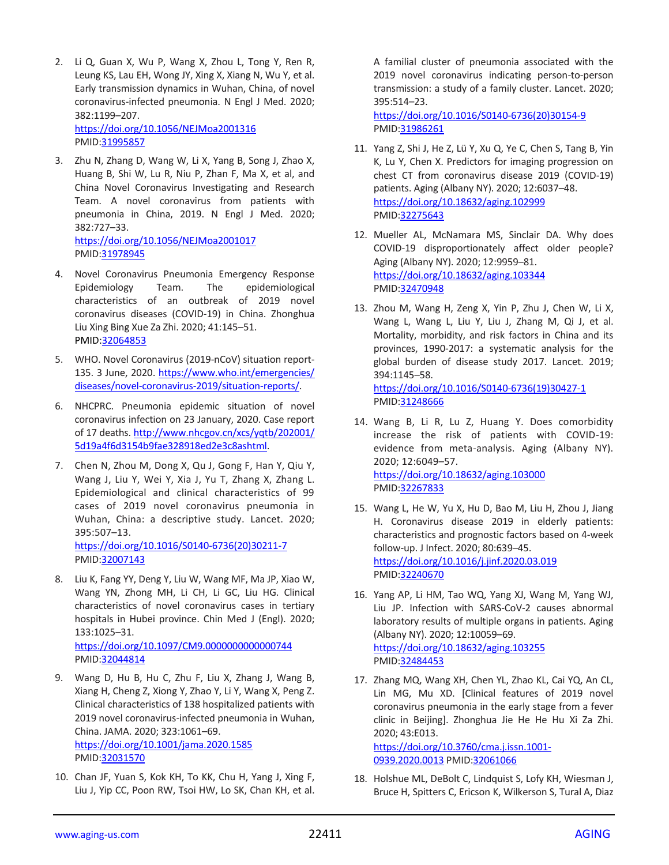- 2. Li Q, Guan X, Wu P, Wang X, Zhou L, Tong Y, Ren R, Leung KS, Lau EH, Wong JY, Xing X, Xiang N, Wu Y, et al. Early transmission dynamics in Wuhan, China, of novel coronavirus-infected pneumonia. N Engl J Med. 2020; 382:1199–207. <https://doi.org/10.1056/NEJMoa2001316> PMID[:31995857](https://pubmed.ncbi.nlm.nih.gov/31995857)
- 3. Zhu N, Zhang D, Wang W, Li X, Yang B, Song J, Zhao X, Huang B, Shi W, Lu R, Niu P, Zhan F, Ma X, et al, and China Novel Coronavirus Investigating and Research Team. A novel coronavirus from patients with pneumonia in China, 2019. N Engl J Med. 2020; 382:727–33. <https://doi.org/10.1056/NEJMoa2001017>

PMID[:31978945](https://pubmed.ncbi.nlm.nih.gov/31978945)

- 4. Novel Coronavirus Pneumonia Emergency Response Epidemiology Team. The epidemiological characteristics of an outbreak of 2019 novel coronavirus diseases (COVID-19) in China. Zhonghua Liu Xing Bing Xue Za Zhi. 2020; 41:145–51. PMID[:32064853](https://pubmed.ncbi.nlm.nih.gov/32064853/)
- 5. WHO. Novel Coronavirus (2019-nCoV) situation report-135. 3 June, 2020. [https://www.who.int/emergencies/](https://www.who.int/emergencies/diseases/novel-coronavirus-2019/situation-reports/) [diseases/novel-coronavirus-2019/situation-reports/.](https://www.who.int/emergencies/diseases/novel-coronavirus-2019/situation-reports/)
- 6. NHCPRC. Pneumonia epidemic situation of novel coronavirus infection on 23 January, 2020. Case report of 17 deaths[. http://www.nhcgov.cn/xcs/yqtb/202001/](http://www.nhcgov.cn/xcs/yqtb/202001/%0b5d19a4f6d3154b9fae328918ed2e3c8ashtml) [5d19a4f6d3154b9fae328918ed2e3c8ashtml.](http://www.nhcgov.cn/xcs/yqtb/202001/%0b5d19a4f6d3154b9fae328918ed2e3c8ashtml)
- 7. Chen N, Zhou M, Dong X, Qu J, Gong F, Han Y, Qiu Y, Wang J, Liu Y, Wei Y, Xia J, Yu T, Zhang X, Zhang L. Epidemiological and clinical characteristics of 99 cases of 2019 novel coronavirus pneumonia in Wuhan, China: a descriptive study. Lancet. 2020; 395:507–13.

[https://doi.org/10.1016/S0140-6736\(20\)30211-7](https://doi.org/10.1016/S0140-6736(20)30211-7) PMID[:32007143](https://pubmed.ncbi.nlm.nih.gov/32007143)

8. Liu K, Fang YY, Deng Y, Liu W, Wang MF, Ma JP, Xiao W, Wang YN, Zhong MH, Li CH, Li GC, Liu HG. Clinical characteristics of novel coronavirus cases in tertiary hospitals in Hubei province. Chin Med J (Engl). 2020; 133:1025–31.

<https://doi.org/10.1097/CM9.0000000000000744> PMID[:32044814](https://pubmed.ncbi.nlm.nih.gov/32044814)

- 9. Wang D, Hu B, Hu C, Zhu F, Liu X, Zhang J, Wang B, Xiang H, Cheng Z, Xiong Y, Zhao Y, Li Y, Wang X, Peng Z. Clinical characteristics of 138 hospitalized patients with 2019 novel coronavirus-infected pneumonia in Wuhan, China. JAMA. 2020; 323:1061–69. <https://doi.org/10.1001/jama.2020.1585> PMID[:32031570](https://pubmed.ncbi.nlm.nih.gov/32031570)
- 10. Chan JF, Yuan S, Kok KH, To KK, Chu H, Yang J, Xing F, Liu J, Yip CC, Poon RW, Tsoi HW, Lo SK, Chan KH, et al.

A familial cluster of pneumonia associated with the 2019 novel coronavirus indicating person-to-person transmission: a study of a family cluster. Lancet. 2020; 395:514–23.

[https://doi.org/10.1016/S0140-6736\(20\)30154-9](https://doi.org/10.1016/S0140-6736(20)30154-9) PMI[D:31986261](https://pubmed.ncbi.nlm.nih.gov/31986261)

- 11. Yang Z, Shi J, He Z, Lü Y, Xu Q, Ye C, Chen S, Tang B, Yin K, Lu Y, Chen X. Predictors for imaging progression on chest CT from coronavirus disease 2019 (COVID-19) patients. Aging (Albany NY). 2020; 12:6037–48. <https://doi.org/10.18632/aging.102999> PMI[D:32275643](https://pubmed.ncbi.nlm.nih.gov/32275643)
- 12. Mueller AL, McNamara MS, Sinclair DA. Why does COVID-19 disproportionately affect older people? Aging (Albany NY). 2020; 12:9959–81. <https://doi.org/10.18632/aging.103344> PMI[D:32470948](https://pubmed.ncbi.nlm.nih.gov/32470948)
- 13. Zhou M, Wang H, Zeng X, Yin P, Zhu J, Chen W, Li X, Wang L, Wang L, Liu Y, Liu J, Zhang M, Qi J, et al. Mortality, morbidity, and risk factors in China and its provinces, 1990-2017: a systematic analysis for the global burden of disease study 2017. Lancet. 2019; 394:1145–58. [https://doi.org/10.1016/S0140-6736\(19\)30427-1](https://doi.org/10.1016/S0140-6736(19)30427-1)

PMI[D:31248666](https://pubmed.ncbi.nlm.nih.gov/31248666)

- 14. Wang B, Li R, Lu Z, Huang Y. Does comorbidity increase the risk of patients with COVID-19: evidence from meta-analysis. Aging (Albany NY). 2020; 12:6049–57. <https://doi.org/10.18632/aging.103000> PMI[D:32267833](https://pubmed.ncbi.nlm.nih.gov/32267833)
- 15. Wang L, He W, Yu X, Hu D, Bao M, Liu H, Zhou J, Jiang H. Coronavirus disease 2019 in elderly patients: characteristics and prognostic factors based on 4-week follow-up. J Infect. 2020; 80:639–45. <https://doi.org/10.1016/j.jinf.2020.03.019> PMI[D:32240670](https://pubmed.ncbi.nlm.nih.gov/32240670)
- 16. Yang AP, Li HM, Tao WQ, Yang XJ, Wang M, Yang WJ, Liu JP. Infection with SARS-CoV-2 causes abnormal laboratory results of multiple organs in patients. Aging (Albany NY). 2020; 12:10059–69. <https://doi.org/10.18632/aging.103255> PMI[D:32484453](https://pubmed.ncbi.nlm.nih.gov/32484453)
- 17. Zhang MQ, Wang XH, Chen YL, Zhao KL, Cai YQ, An CL, Lin MG, Mu XD. [Clinical features of 2019 novel coronavirus pneumonia in the early stage from a fever clinic in Beijing]. Zhonghua Jie He He Hu Xi Za Zhi. 2020; 43:E013.

[https://doi.org/10.3760/cma.j.issn.1001-](https://doi.org/10.3760/cma.j.issn.1001-0939.2020.0013) [0939.2020.0013](https://doi.org/10.3760/cma.j.issn.1001-0939.2020.0013) PMID[:32061066](https://pubmed.ncbi.nlm.nih.gov/32061066)

18. Holshue ML, DeBolt C, Lindquist S, Lofy KH, Wiesman J, Bruce H, Spitters C, Ericson K, Wilkerson S, Tural A, Diaz